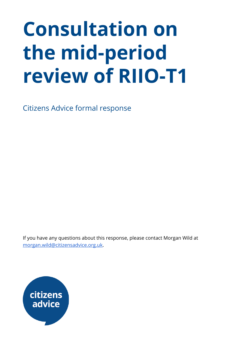# **Consultation on the mid-period review of RIIO-T1**

Citizens Advice formal response

If you have any questions about this response, please contact Morgan Wild at [morgan.wild@citizensadvice.org.uk](mailto:morgan.wild@citizensadvice.org.uk).

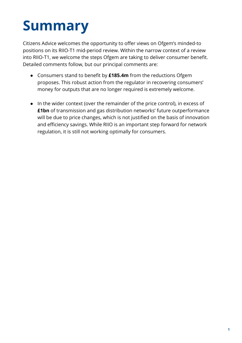## **Summary**

Citizens Advice welcomes the opportunity to offer views on Ofgem's minded-to positions on its RIIO-T1 mid-period review. Within the narrow context of a review into RIIO-T1, we welcome the steps Ofgem are taking to deliver consumer benefit. Detailed comments follow, but our principal comments are:

- Consumers stand to benefit by **£185.4m** from the reductions Ofgem proposes. This robust action from the regulator in recovering consumers' money for outputs that are no longer required is extremely welcome.
- In the wider context (over the remainder of the price control), in excess of **£1bn** of transmission and gas distribution networks' future outperformance will be due to price changes, which is not justified on the basis of innovation and efficiency savings. While RIIO is an important step forward for network regulation, it is still not working optimally for consumers.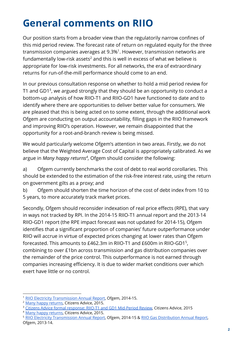### **General comments on RIIO**

Our position starts from a broader view than the regulatorily narrow confines of this mid period review. The forecast rate of return on regulated equity for the three transmission companies averages at  $9.3\%$ <sup>1</sup>. However, transmission networks are fundamentally low-risk assets<sup>2</sup> and this is well in excess of what we believe is appropriate for low-risk investments. For all networks, the era of extraordinary returns for run-of-the-mill performance should come to an end.

In our previous consultation response on whether to hold a mid period review for T1 and GD1<sup>3</sup>, we argued strongly that they should be an opportunity to conduct a bottom-up analysis of how RIIO-T1 and RIIO-GD1 have functioned to date and to identify where there are opportunities to deliver better value for consumers. We are pleased that this is being acted on to some extent, through the additional work Ofgem are conducting on output accountability, filling gaps in the RIIO framework and improving RIIO's operation. However, we remain disappointed that the opportunity for a root-and-branch review is being missed.

We would particularly welcome Ofgem's attention in two areas. Firstly, we do not believe that the Weighted Average Cost of Capital is appropriately calibrated. As we argue in *Many happy returns<sup>4</sup>*, Ofgem should consider the following:

a) Ofgem currently benchmarks the cost of debt to real world corollaries. This should be extended to the estimation of the risk-free interest rate, using the return on government gilts as a proxy; and

b) Ofgem should shorten the time horizon of the cost of debt index from 10 to 5 years, to more accurately track market prices.

Secondly, Ofgem should reconsider indexation of real price effects (RPE), that vary in ways not tracked by RPI. In the 2014-15 RIIO-T1 annual report and the 2013-14 RIIO-GD1 report (the RPE impact forecast was not updated for 2014-15), Ofgem identifies that a significant proportion of companies' future outperformance under RIIO will accrue in virtue of expected prices changing at lower rates than Ofgem forecasted. This amounts to £462.3m in RIIO-T1 and £600m in RIIO-GD1 $^5$ , combining to over £1bn across transmission and gas distribution companies over the remainder of the price control. This outperformance is not earned through companies increasing efficiency. It is due to wider market conditions over which exert have little or no control.

<sup>1</sup> [RIIO Electricity Transmission Annual Report,](https://www.ofgem.gov.uk/sites/default/files/docs/riio_transmission_annual_report_2015_publish.pdf) Ofgem, 2014-15.

<sup>&</sup>lt;sup>2</sup> [Many happy returns](https://www.citizensadvice.org.uk/cymraeg/about-us/policy/policy-research-topics/consumer-policy-research/consumer-policy-research/many-happy-returns/), Citizens Advice, 2015.

<sup>&</sup>lt;sup>3</sup> [Citizens Advice formal response: RIIO-T1 and GD1 Mid-Period Review,](https://www.citizensadvice.org.uk/Global/CitizensAdvice/Energy/Energy%20Consultation%20responses/RIIO-T1andGD1Mid-PeriodReview-ConsultationResponse.pdf) Citizens Advice, 2015

<sup>&</sup>lt;sup>4</sup> [Many happy returns](https://www.citizensadvice.org.uk/cymraeg/about-us/policy/policy-research-topics/consumer-policy-research/consumer-policy-research/many-happy-returns/), Citizens Advice, 2015.

<sup>&</sup>lt;sup>5</sup> [RIIO Electricity Transmission Annual Report,](https://www.ofgem.gov.uk/sites/default/files/docs/riio_transmission_annual_report_2015_publish.pdf) Ofgem, 2014-15 & [RIIO Gas Distribution Annual Report,](https://www.ofgem.gov.uk/publications-and-updates/riio-gd1-annual-report-2013-14) Ofgem, 2013-14.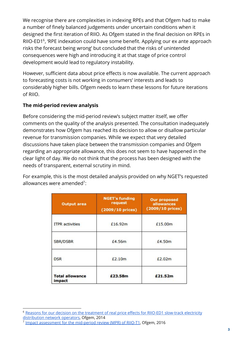We recognise there are complexities in indexing RPEs and that Ofgem had to make a number of finely balanced judgements under uncertain conditions when it designed the first iteration of RIIO. As Ofgem stated in the final decision on RPEs in RIIO-ED1 $<sup>6</sup>$ , 'RPE indexation could have some benefit. Applying our ex ante approach</sup> risks the forecast being wrong' but concluded that the risks of unintended consequences were high and introducing it at that stage of price control development would lead to regulatory instability.

However, sufficient data about price effects is now available. The current approach to forecasting costs is not working in consumers' interests and leads to considerably higher bills. Ofgem needs to learn these lessons for future iterations of RIIO.

#### **The mid-period review analysis**

Before considering the mid-period review's subject matter itself, we offer comments on the quality of the analysis presented. The consultation inadequately demonstrates how Ofgem has reached its decision to allow or disallow particular revenue for transmission companies. While we expect that very detailed discussions have taken place between the transmission companies and Ofgem regarding an appropriate allowance, this does not seem to have happened in the clear light of day. We do not think that the process has been designed with the needs of transparent, external scrutiny in mind.

For example, this is the most detailed analysis provided on why NGET's requested allowances were amended<sup>7</sup>:

| <b>Output area</b>               | <b>NGET's funding</b><br>request<br>(2009/10 prices) | <b>Our proposed</b><br>allowances<br>(2009/10 prices) |
|----------------------------------|------------------------------------------------------|-------------------------------------------------------|
| <b>ITPR</b> activities           | £16,92m                                              | £15.00m                                               |
| <b>SBR/DSBR</b>                  | £4.56m                                               | £4.50m                                                |
| <b>DSR</b>                       | £2.10m                                               | £2.02m                                                |
| <b>Total allowance</b><br>impact | £23.58m                                              | £21.52m                                               |

<sup>&</sup>lt;sup>6</sup> [Reasons for our decision on the treatment of real price effects for RIIO-ED1 slow-track electricity](https://www.ofgem.gov.uk/sites/default/files/docs/2014/11/riio-ed1_final_determinations_rpe_methodology_decision_0.pdf) [distribution network operators,](https://www.ofgem.gov.uk/sites/default/files/docs/2014/11/riio-ed1_final_determinations_rpe_methodology_decision_0.pdf) Ofgem, 2014

<sup>&</sup>lt;sup>7</sup> [Impact assessment for the mid-period review \(MPR\) of RIIO-T1,](https://www.ofgem.gov.uk/system/files/docs/2016/08/consultation_on_the_mpr_riio-t1_-_impact_assessment.pdf) Ofgem, 2016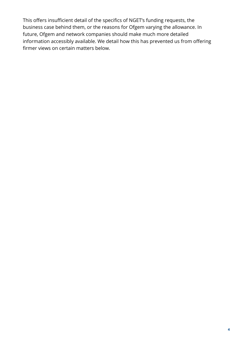This offers insufficient detail of the specifics of NGET's funding requests, the business case behind them, or the reasons for Ofgem varying the allowance. In future, Ofgem and network companies should make much more detailed information accessibly available. We detail how this has prevented us from offering firmer views on certain matters below.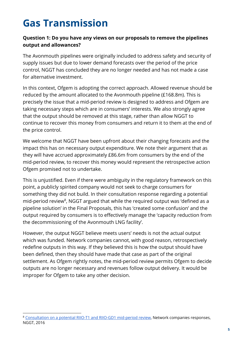## **Gas Transmission**

#### **Question 1: Do you have any views on our proposals to remove the pipelines output and allowances?**

The Avonmouth pipelines were originally included to address safety and security of supply issues but due to lower demand forecasts over the period of the price control, NGGT has concluded they are no longer needed and has not made a case for alternative investment.

In this context, Ofgem is adopting the correct approach. Allowed revenue should be reduced by the amount allocated to the Avonmouth pipeline (£168.8m). This is precisely the issue that a mid-period review is designed to address and Ofgem are taking necessary steps which are in consumers' interests. We also strongly agree that the output should be removed at this stage, rather than allow NGGT to continue to recover this money from consumers and return it to them at the end of the price control.

We welcome that NGGT have been upfront about their changing forecasts and the impact this has on necessary output expenditure. We note their argument that as they will have accrued approximately £86.6m from consumers by the end of the mid-period review, to recover this money would represent the retrospective action Ofgem promised not to undertake.

This is unjustified. Even if there were ambiguity in the regulatory framework on this point, a publicly spirited company would not seek to charge consumers for something they did not build. In their consultation response regarding a potential mid-period review<sup>8</sup>, NGGT argued that while the required output was 'defined as a pipeline solution' in the Final Proposals, this has 'created some confusion' and the output required by consumers is to effectively manage the 'capacity reduction from the decommissioning of the Avonmouth LNG facility'.

However, the output NGGT believe meets users' needs is not the actual output which was funded. Network companies cannot, with good reason, retrospectively redefine outputs in this way. If they believed this is how the output should have been defined, then they should have made that case as part of the original settlement. As Ofgem rightly notes, the mid-period review permits Ofgem to decide outputs are no longer necessary and revenues follow output delivery. It would be improper for Ofgem to take any other decision.

<sup>8</sup> [Consultation on a potential RIIO-T1 and RIIO-GD1 mid-period review](https://www.ofgem.gov.uk/publications-and-updates/consultation-potential-riio-t1-and-gd1-mid-period-review-0), Network companies responses, NGGT, 2016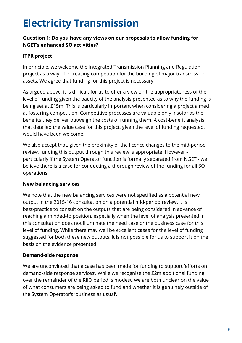## **Electricity Transmission**

#### **Question 1: Do you have any views on our proposals to allow funding for NGET's enhanced SO activities?**

#### **ITPR project**

In principle, we welcome the Integrated Transmission Planning and Regulation project as a way of increasing competition for the building of major transmission assets. We agree that funding for this project is necessary.

As argued above, it is difficult for us to offer a view on the appropriateness of the level of funding given the paucity of the analysis presented as to why the funding is being set at £15m. This is particularly important when considering a project aimed at fostering competition. Competitive processes are valuable only insofar as the benefits they deliver outweigh the costs of running them. A cost-benefit analysis that detailed the value case for this project, given the level of funding requested, would have been welcome.

We also accept that, given the proximity of the licence changes to the mid-period review, funding this output through this review is appropriate. However particularly if the System Operator function is formally separated from NGET - we believe there is a case for conducting a thorough review of the funding for all SO operations.

#### **New balancing services**

We note that the new balancing services were not specified as a potential new output in the 2015-16 consultation on a potential mid-period review. It is best-practice to consult on the outputs that are being considered in advance of reaching a minded-to position, especially when the level of analysis presented in this consultation does not illuminate the need case or the business case for this level of funding. While there may well be excellent cases for the level of funding suggested for both these new outputs, it is not possible for us to support it on the basis on the evidence presented.

#### **Demand-side response**

We are unconvinced that a case has been made for funding to support 'efforts on demand-side response services'. While we recognise the £2m additional funding over the remainder of the RIIO period is modest, we are both unclear on the value of what consumers are being asked to fund and whether it is genuinely outside of the System Operator's 'business as usual'.